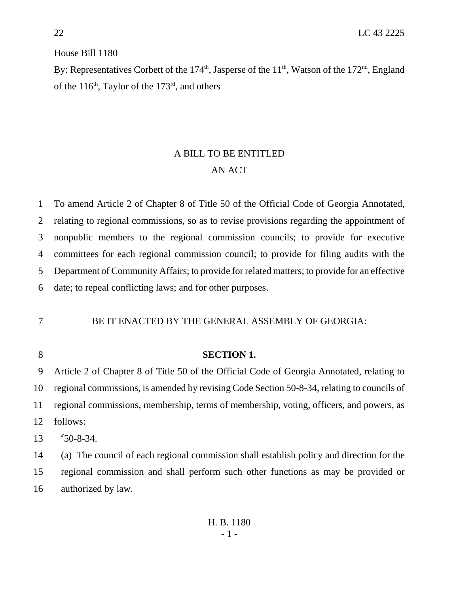House Bill 1180

By: Representatives Corbett of the  $174<sup>th</sup>$ , Jasperse of the  $11<sup>th</sup>$ , Watson of the  $172<sup>nd</sup>$ , England of the  $116^{th}$ , Taylor of the  $173^{rd}$ , and others

## A BILL TO BE ENTITLED AN ACT

 To amend Article 2 of Chapter 8 of Title 50 of the Official Code of Georgia Annotated, relating to regional commissions, so as to revise provisions regarding the appointment of nonpublic members to the regional commission councils; to provide for executive committees for each regional commission council; to provide for filing audits with the Department of Community Affairs; to provide for related matters; to provide for an effective date; to repeal conflicting laws; and for other purposes.

## BE IT ENACTED BY THE GENERAL ASSEMBLY OF GEORGIA:

## **SECTION 1.**

 Article 2 of Chapter 8 of Title 50 of the Official Code of Georgia Annotated, relating to regional commissions, is amended by revising Code Section 50-8-34, relating to councils of regional commissions, membership, terms of membership, voting, officers, and powers, as follows:

"50-8-34.

 (a) The council of each regional commission shall establish policy and direction for the regional commission and shall perform such other functions as may be provided or authorized by law.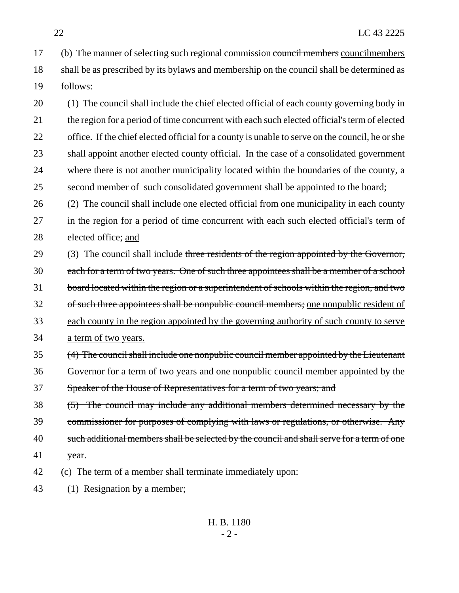17 (b) The manner of selecting such regional commission council members councilmembers shall be as prescribed by its bylaws and membership on the council shall be determined as follows:

 (1) The council shall include the chief elected official of each county governing body in 21 the region for a period of time concurrent with each such elected official's term of elected 22 office. If the chief elected official for a county is unable to serve on the council, he or she shall appoint another elected county official. In the case of a consolidated government where there is not another municipality located within the boundaries of the county, a second member of such consolidated government shall be appointed to the board;

 (2) The council shall include one elected official from one municipality in each county in the region for a period of time concurrent with each such elected official's term of elected office; and

29 (3) The council shall include three residents of the region appointed by the Governor, each for a term of two years. One of such three appointees shall be a member of a school board located within the region or a superintendent of schools within the region, and two 32 of such three appointees shall be nonpublic council members; one nonpublic resident of each county in the region appointed by the governing authority of such county to serve a term of two years.

 (4) The council shall include one nonpublic council member appointed by the Lieutenant Governor for a term of two years and one nonpublic council member appointed by the Speaker of the House of Representatives for a term of two years; and

 (5) The council may include any additional members determined necessary by the commissioner for purposes of complying with laws or regulations, or otherwise. Any 40 such additional members shall be selected by the council and shall serve for a term of one year.

- (c) The term of a member shall terminate immediately upon:
- (1) Resignation by a member;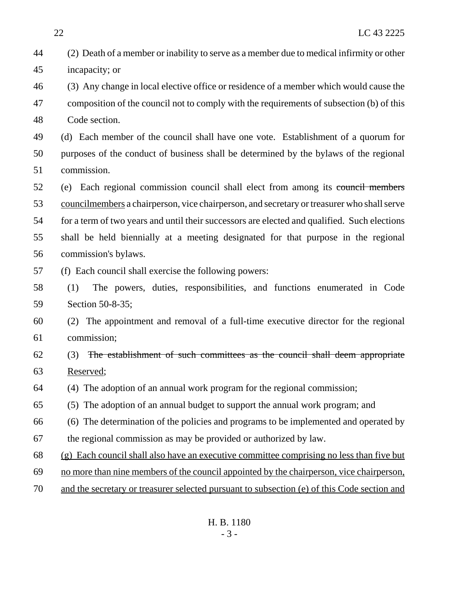| 44 | (2) Death of a member or inability to serve as a member due to medical infirmity or other    |
|----|----------------------------------------------------------------------------------------------|
| 45 | incapacity; or                                                                               |
| 46 | (3) Any change in local elective office or residence of a member which would cause the       |
| 47 | composition of the council not to comply with the requirements of subsection (b) of this     |
| 48 | Code section.                                                                                |
| 49 | (d) Each member of the council shall have one vote. Establishment of a quorum for            |
| 50 | purposes of the conduct of business shall be determined by the bylaws of the regional        |
| 51 | commission.                                                                                  |
| 52 | (e) Each regional commission council shall elect from among its council members              |
| 53 | councilmembers a chairperson, vice chairperson, and secretary or treasurer who shall serve   |
| 54 | for a term of two years and until their successors are elected and qualified. Such elections |
| 55 | shall be held biennially at a meeting designated for that purpose in the regional            |
| 56 | commission's bylaws.                                                                         |
| 57 | (f) Each council shall exercise the following powers:                                        |
| 58 | The powers, duties, responsibilities, and functions enumerated in Code<br>(1)                |
| 59 | Section 50-8-35;                                                                             |
| 60 | The appointment and removal of a full-time executive director for the regional<br>(2)        |
| 61 | commission;                                                                                  |
| 62 | The establishment of such committees as the council shall deem appropriate<br>(3)            |
| 63 | Reserved;                                                                                    |
| 64 | (4) The adoption of an annual work program for the regional commission;                      |
| 65 | The adoption of an annual budget to support the annual work program; and<br>(5)              |
| 66 | (6) The determination of the policies and programs to be implemented and operated by         |
| 67 | the regional commission as may be provided or authorized by law.                             |
| 68 | (g) Each council shall also have an executive committee comprising no less than five but     |
| 69 | no more than nine members of the council appointed by the chairperson, vice chairperson,     |
| 70 | and the secretary or treasurer selected pursuant to subsection (e) of this Code section and  |
|    |                                                                                              |